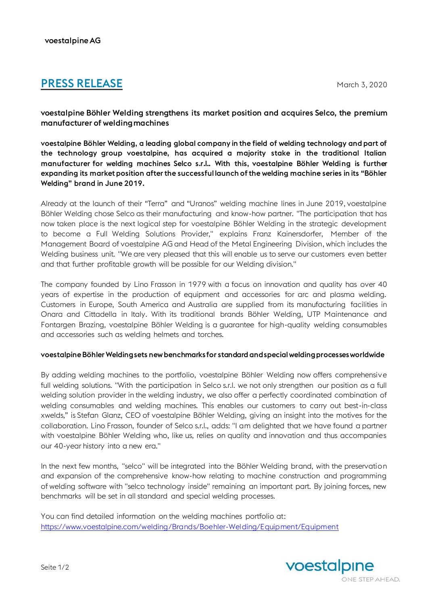# **PRESS RELEASE** March 3, 2020

voestalpine Böhler Welding strengthens its market position and acquires Selco, the premium manufacturer of welding machines

voestalpine Böhler Welding, a leading global company in the field of welding technology and part of the technology group voestalpine, has acquired a majority stake in the traditional Italian manufacturer for welding machines Selco s.r.l.. With this, voestalpine Böhler Welding is further expanding its market position after the successful launch of the welding machine series in its "Böhler Welding" brand in June 2019.

Already at the launch of their "Terra" and "Uranos" welding machine lines in June 2019, voestalpine Böhler Welding chose Selco as their manufacturing and know-how partner. "The participation that has now taken place is the next logical step for voestalpine Böhler Welding in the strategic development to become a Full Welding Solutions Provider," explains Franz Kainersdorfer, Member of the Management Board of voestalpine AG and Head of the Metal Engineering Division, which includes the Welding business unit. "We are very pleased that this will enable us to serve our customers even better and that further profitable growth will be possible for our Welding division."

The company founded by Lino Frasson in 1979 with a focus on innovation and quality has over 40 years of expertise in the production of equipment and accessories for arc and plasma welding. Customers in Europe, South America and Australia are supplied from its manufacturing facilities in Onara and Cittadella in Italy. With its traditional brands Böhler Welding, UTP Maintenance and Fontargen Brazing, voestalpine Böhler Welding is a guarantee for high-quality welding consumables and accessories such as welding helmets and torches.

## voestalpine Böhler Welding sets new benchmarks for standard and special welding processes worldwide

By adding welding machines to the portfolio, voestalpine Böhler Welding now offers comprehensive full welding solutions. "With the participation in Selco s.r.l. we not only strengthen our position as a full welding solution provider in the welding industry, we also offer a perfectly coordinated combination of welding consumables and welding machines. This enables our customers to carry out best-in-class xwelds," is Stefan Glanz, CEO of voestalpine Böhler Welding, giving an insight into the motives for the collaboration. Lino Frasson, founder of Selco s.r.l., adds: "I am delighted that we have found a partner with voestalpine Böhler Welding who, like us, relies on quality and innovation and thus accompanies our 40-year history into a new era."

In the next few months, "selco" will be integrated into the Böhler Welding brand, with the preservation and expansion of the comprehensive know-how relating to machine construction and programming of welding software with "selco technology inside" remaining an important part. By joining forces, new benchmarks will be set in all standard and special welding processes.

You can find detailed information on the welding machines portfolio at: <https://www.voestalpine.com/welding/Brands/Boehler-Welding/Equipment/Equipment>